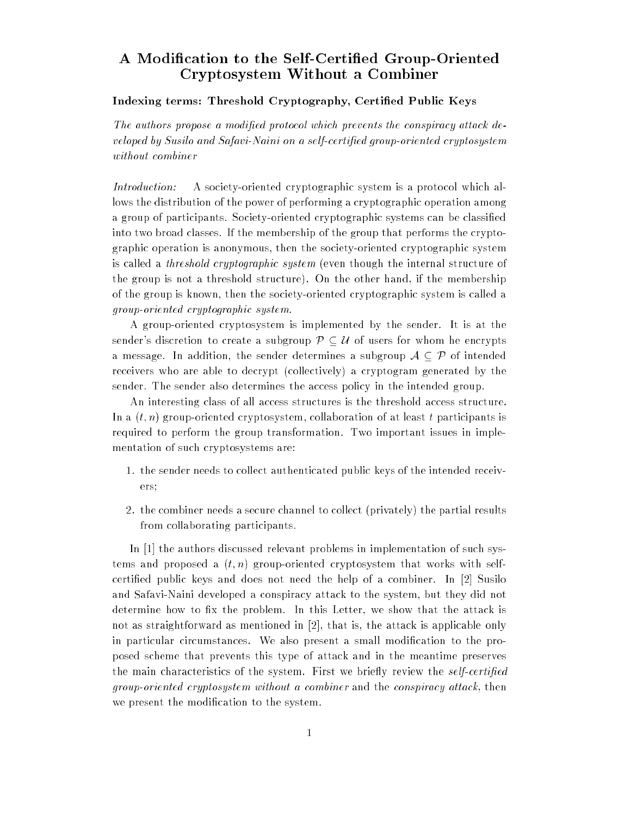## A Modication to the Self-Certied Group-Oriented Cryptosystem Without <sup>a</sup> Combiner

## Indexing terms: Threshold Cryptography, Certied Public Keys

The authors propose a modified protocol which prevents the conspiracy attack developed by Susilo and Safavi-Naini on a self-certified group-oriented cryptosystem without combiner

Introduction: A society-oriented cryptographic system is a protocol which allows the distribution of the power of performing a cryptographic operation among a group of participants. Society-oriented cryptographic systems can be classied into two broad classes. If the membership of the group that performs the cryptographic operation is anonymous, then the society-oriented cryptographic system is called a threshold cryptographic system (even though the internal structure of the group is not a threshold structure). On the other hand, if the membership of the group is known, then the society-oriented cryptographic system is called a group-oriented cryptographic system.

A group-oriented cryptosystem is implemented by the sender. It is at the sender's discretion to create a subgroup  $\mathcal{P} \subset \mathcal{U}$  of users for whom he encrypts a message. In addition, the sender determines a subgroup  $A \subseteq \mathcal{P}$  of intended receivers who are able to decrypt (collectively) a cryptogram generated by the sender. The sender also determines the access policy in the intended group.

An interesting class of all access structures is the threshold access structure. In a  $(t, n)$  group-oriented cryptosystem, collaboration of at least t participants is required to perform the group transformation. Two important issues in implementation of such cryptosystems are:

- 1. the sender needs to collect authenticated public keys of the intended receivers;
- 2. the combiner needs a secure channel to collect (privately) the partial results from collaborating participants.

In [1] the authors discussed relevant problems in implementation of such systems and proposed a  $(t, n)$  group-oriented cryptosystem that works with selfcertied public keys and does not need the help of a combiner. In [2] Susilo and Safavi-Naini developed a conspiracy attack to the system, but they did not determine how to fix the problem. In this Letter, we show that the attack is not as straightforward as mentioned in [2], that is, the attack is applicable only in particular circumstances. We also present a small modication to the proposed scheme that prevents this type of attack and in the meantime preserves the main characteristics of the system. First we briefly review the *self-certified* group-oriented cryptosystem without a combiner and the conspiracy attack, then we present the modication to the system.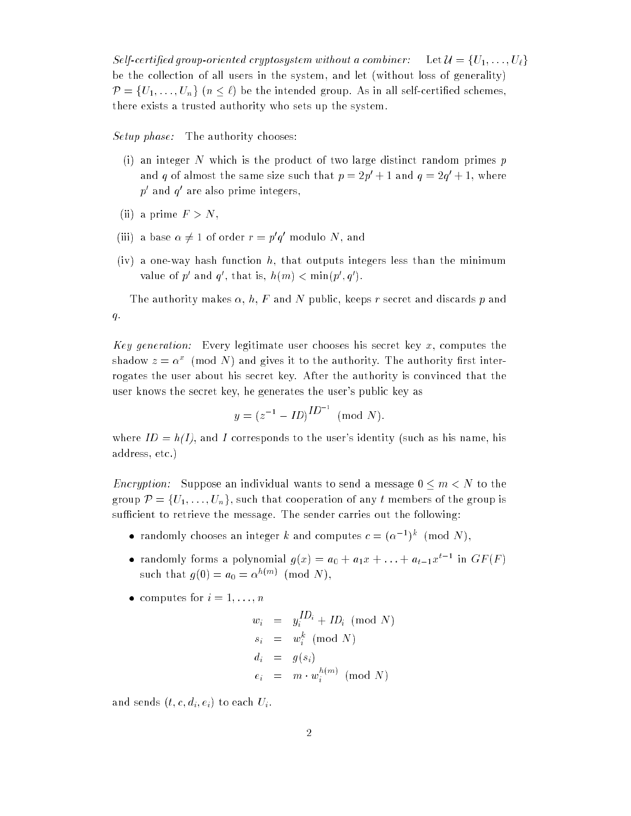Self-certified group-oriented cryptosystem without a combiner: Let  $\mathcal{U} = \{U_1, \ldots, U_\ell\}$ be the collection of all users in the system, and let (without loss of generality)  $\mathcal{P} = \{U_1, \ldots, U_n\}$   $(n \leq \ell)$  be the intended group. As in all self-certified schemes, there exists a trusted authority who sets up the system.

Setup phase: The authority chooses:

- (i) an integer N which is the product of two large distinct random primes  $p$ and q of almost the same size such that  $p = zp_0 + 1$  and  $q = zq_0 + 1$ , where  $p$  and  $q$  are also prime integers,
- (ii) a prime  $F > N$ ,
- (iii) a pase  $\alpha \neq 1$  of order  $r = p|q|$  modulo *i*v, and
- (iv) a one-way hash function h, that outputs integers less than the minimum value of p and q, that is,  $n(m) < \min(p, q)$ .

The authority makes  $\alpha, h, F$  and N public, keeps r secret and discards p and  $q$ .

Key generation: Every legitimate user chooses his secret key  $x$ , computes the shadow  $z = \alpha^{\scriptscriptstyle -} \,$  (mod TV) and gives it to the authority. The authority first interrogates the user about his secret key. After the authority is convinced that the user knows the secret key, he generates the user's public key as

$$
y = (z^{-1} - ID)^{ID^{-1}} \pmod{N}.
$$

where  $ID = h(I)$ , and I corresponds to the user's identity (such as his name, his address, etc.)

*Encryption:* Suppose an individual wants to send a message  $0 \le m < N$  to the group  $\mathcal{P} = \{U_1, \ldots, U_n\}$ , such that cooperation of any t members of the group is sufficient to retrieve the message. The sender carries out the following:

- randomly chooses an integer k and computes  $c = (\alpha j)^{n}$  (mod N),
- randomly forms a polynomial  $g(x) = a_0 + a_1x + \ldots + a_{t-1}x_t$  on Gr  $(r)$ such that  $g(0) = a_0 = \alpha$  (mod N),
- computes for  $i = 1, \ldots, n$

$$
w_i = y_i^{ID_i} + ID_i \pmod{N}
$$
  
\n
$$
s_i = w_i^k \pmod{N}
$$
  
\n
$$
d_i = g(s_i)
$$
  
\n
$$
e_i = m \cdot w_i^{h(m)} \pmod{N}
$$

and sends  $(t, c, d_i, e_i)$  to each  $U_i$ .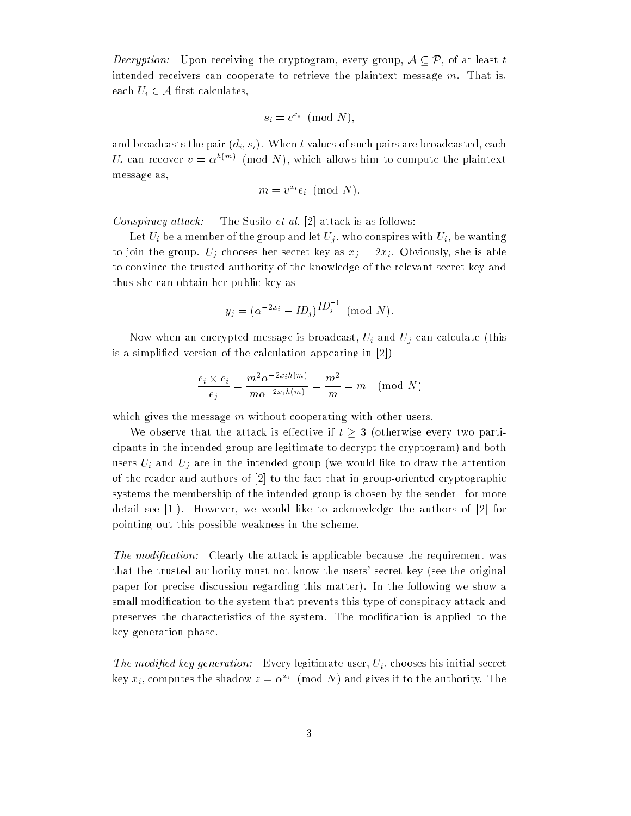*Decryption:* Upon receiving the cryptogram, every group,  $A \subset \mathcal{P}$ , of at least t intended receivers can cooperate to retrieve the plaintext message  $m$ . That is, each  $U_i \in \mathcal{A}$  first calculates,

$$
s_i = c^{x_i} \pmod{N},
$$

and broadcasts the pair  $(d_i, s_i)$ . When t values of such pairs are broadcasted, each  $U_i$  can recover  $v = \alpha^{-(m)}$  (mod N), which allows him to compute the plaintext message as,

$$
m = v^{x_i} e_i \pmod{N}.
$$

Conspiracy attack: The Susilo et al. [2] attack is as follows:

Let  $U_i$  be a member of the group and let  $U_j,$  who conspires with  $U_i,$  be wanting to join the group.  $U_j$  chooses her secret key as  $x_j = 2x_i$ . Obviously, she is able to convince the trusted authority of the knowledge of the relevant secret key and thus she can obtain her public key as

$$
y_j = (\alpha^{-2x_i} - ID_j)^{ID_j^{-1}}
$$
 (mod N).

Now when an encrypted message is broadcast,  $U_i$  and  $U_j$  can calculate (this is a simplied version of the calculation appearing in [2])

$$
\frac{e_i \times e_i}{e_j} = \frac{m^2 \alpha^{-2x_i h(m)}}{m \alpha^{-2x_i h(m)}} = \frac{m^2}{m} = m \pmod{N}
$$

which gives the message  $m$  without cooperating with other users.

We observe that the attack is effective if  $t \geq 3$  (otherwise every two participants in the intended group are legitimate to decrypt the cryptogram) and both users  $U_i$  and  $U_j$  are in the intended group (we would like to draw the attention of the reader and authors of [2] to the fact that in group-oriented cryptographic systems the membership of the intended group is chosen by the sender -for more detail see [1]). However, we would like to acknowledge the authors of [2] for pointing out this possible weakness in the scheme.

The modification: Clearly the attack is applicable because the requirement was that the trusted authority must not know the users' secret key (see the original paper for precise discussion regarding this matter). In the following we show a small modification to the system that prevents this type of conspiracy attack and preserves the characteristics of the system. The modication is applied to the key generation phase.

The modified key generation: Every legitimate user,  $U_i$ , chooses his initial secret key  $x_i$ , computes the shadow  $z = \alpha^{-\alpha}$  (mod *i*v) and gives it to the authority. The